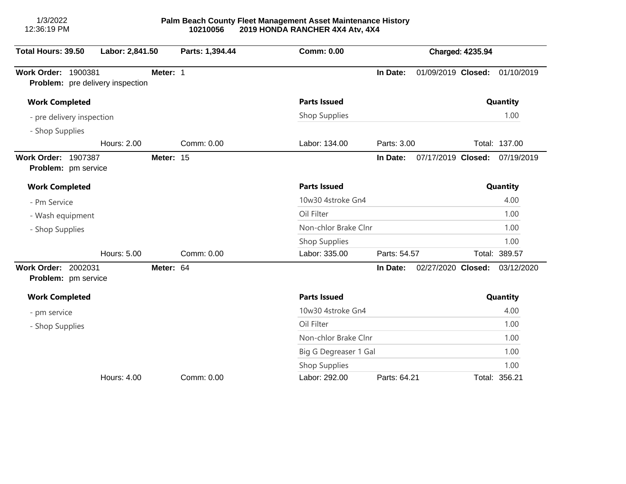1/3/2022 12:36:19 PM

| Total Hours: 39.50         | Labor: 2,841.50                         |            | Parts: 1,394.44      | <b>Comm: 0.00</b>     |              |                    | <b>Charged: 4235.94</b> |               |
|----------------------------|-----------------------------------------|------------|----------------------|-----------------------|--------------|--------------------|-------------------------|---------------|
| <b>Work Order: 1900381</b> | <b>Problem:</b> pre delivery inspection | Meter: 1   |                      |                       | In Date:     | 01/09/2019 Closed: |                         | 01/10/2019    |
| <b>Work Completed</b>      |                                         |            | <b>Parts Issued</b>  |                       |              |                    | Quantity                |               |
| - pre delivery inspection  |                                         |            | Shop Supplies        |                       |              |                    | 1.00                    |               |
| - Shop Supplies            |                                         |            |                      |                       |              |                    |                         |               |
|                            | <b>Hours: 2.00</b>                      |            | Comm: 0.00           | Labor: 134.00         | Parts: 3.00  |                    |                         | Total: 137.00 |
| Work Order: 1907387        | Problem: pm service                     | Meter: 15  |                      |                       | In Date:     | 07/17/2019 Closed: |                         | 07/19/2019    |
| <b>Work Completed</b>      |                                         |            |                      | <b>Parts Issued</b>   |              |                    |                         | Quantity      |
| - Pm Service               |                                         |            |                      | 10w30 4stroke Gn4     |              |                    |                         | 4.00          |
| - Wash equipment           |                                         |            |                      | Oil Filter            |              |                    |                         | 1.00          |
| - Shop Supplies            |                                         |            |                      | Non-chlor Brake Clnr  |              |                    |                         | 1.00          |
|                            |                                         |            |                      | Shop Supplies         |              |                    |                         | 1.00          |
|                            | Hours: 5.00                             |            | Comm: 0.00           | Labor: 335.00         | Parts: 54.57 |                    |                         | Total: 389.57 |
| <b>Work Order: 2002031</b> | Problem: pm service                     | Meter: 64  |                      |                       | In Date:     | 02/27/2020 Closed: |                         | 03/12/2020    |
| <b>Work Completed</b>      |                                         |            |                      | <b>Parts Issued</b>   |              |                    |                         | Quantity      |
| - pm service               |                                         |            |                      | 10w30 4stroke Gn4     |              |                    |                         | 4.00          |
| - Shop Supplies            |                                         | Oil Filter |                      |                       |              | 1.00               |                         |               |
|                            |                                         |            | Non-chlor Brake Clnr |                       |              |                    | 1.00                    |               |
|                            |                                         |            |                      | Big G Degreaser 1 Gal |              |                    |                         | 1.00          |
|                            |                                         |            |                      | Shop Supplies         |              |                    |                         | 1.00          |
|                            | Hours: 4.00                             |            | Comm: 0.00           | Labor: 292.00         | Parts: 64.21 |                    |                         | Total: 356.21 |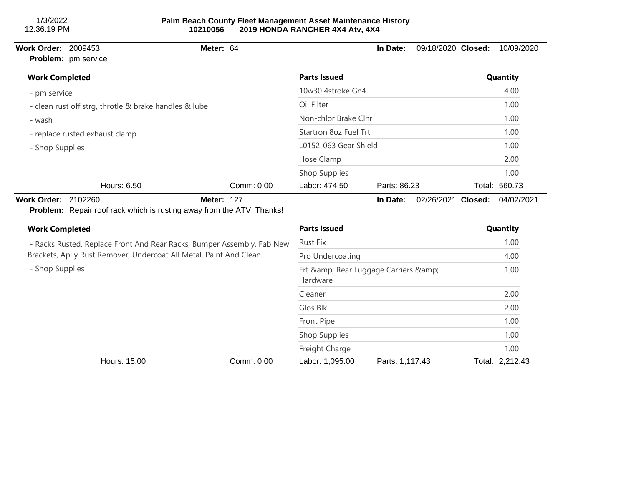1/3/2022 12:36:19 PM

## **Palm Beach County Fleet Management Asset Maintenance History 10210056 2019 HONDA RANCHER 4X4 Atv, 4X4**

## **Problem:** pm service

## **Work Order:** 2009453 **Meter:** 64 **In Date:** 09/18/2020 **Closed:** 10/09/2020

| <b>Work Completed</b>                                 |            | <b>Parts Issued</b>   |              | Quantity      |
|-------------------------------------------------------|------------|-----------------------|--------------|---------------|
| - pm service                                          |            | 10w30 4stroke Gn4     |              | 4.00          |
| - clean rust off strg, throtle & brake handles & lube |            | Oil Filter            | 1.00<br>1.00 |               |
| - wash                                                |            | Non-chlor Brake Clnr  |              |               |
| - replace rusted exhaust clamp                        |            | Startron 8oz Fuel Trt | 1.00         |               |
| - Shop Supplies                                       |            | L0152-063 Gear Shield | 1.00         |               |
|                                                       |            | Hose Clamp            |              | 2.00          |
|                                                       |            | Shop Supplies         |              | 1.00          |
| Hours: 6.50                                           | Comm: 0.00 | Labor: 474.50         | Parts: 86.23 | Total: 560.73 |

**Work Order:** 2102260 **Meter:** 127 **In Date:** 02/26/2021 **Closed:** 04/02/2021 **Problem:** Repair roof rack which is rusting away from the ATV. Thanks!

## - Racks Rusted. Replace Front And Rear Racks, Bumper Assembly, Fab New Brackets, Aplly Rust Remover, Undercoat All Metal, Paint And Clean. - Shop Supplies **Work Completed Parts Issued Quantity** Rust Fix 1.00 Pro Undercoating 4.00 Frt & amp; Rear Luggage Carriers & amp; Hardware 1.00 Cleaner 2.00 Glos Blk 2.00 Front Pipe 1.00 Shop Supplies 1.00 Freight Charge 1.00 Hours: 15.00 Comm: 0.00 Labor: 1,095.00 Parts: 1,117.43 Total: 2,212.43